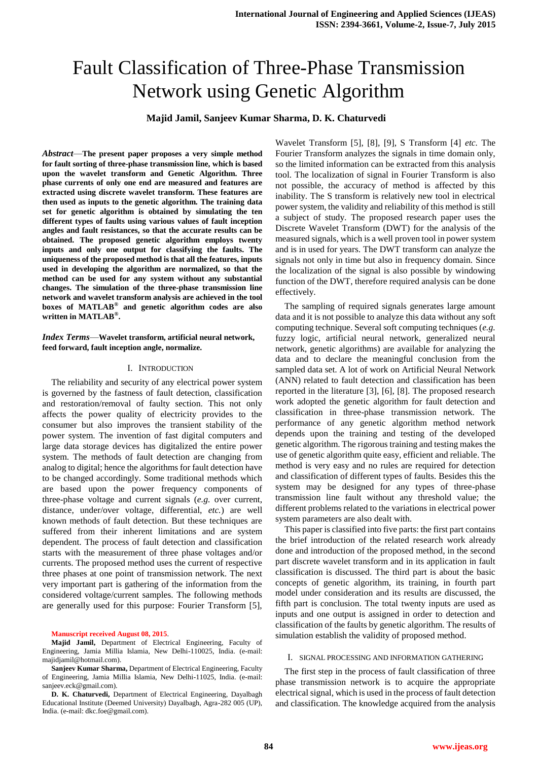# Fault Classification of Three-Phase Transmission Network using Genetic Algorithm

**Majid Jamil, Sanjeev Kumar Sharma, D. K. Chaturvedi**

*Abstract*—**The present paper proposes a very simple method for fault sorting of three-phase transmission line, which is based upon the wavelet transform and Genetic Algorithm. Three phase currents of only one end are measured and features are extracted using discrete wavelet transform. These features are then used as inputs to the genetic algorithm. The training data set for genetic algorithm is obtained by simulating the ten different types of faults using various values of fault inception angles and fault resistances, so that the accurate results can be obtained. The proposed genetic algorithm employs twenty inputs and only one output for classifying the faults. The uniqueness of the proposed method is that all the features, inputs used in developing the algorithm are normalized, so that the method can be used for any system without any substantial changes. The simulation of the three-phase transmission line network and wavelet transform analysis are achieved in the tool boxes of MATLAB® and genetic algorithm codes are also written in MATLAB® .**

## *Index Terms*—**Wavelet transform, artificial neural network, feed forward, fault inception angle, normalize.**

#### I. INTRODUCTION

The reliability and security of any electrical power system is governed by the fastness of fault detection, classification and restoration/removal of faulty section. This not only affects the power quality of electricity provides to the consumer but also improves the transient stability of the power system. The invention of fast digital computers and large data storage devices has digitalized the entire power system. The methods of fault detection are changing from analog to digital; hence the algorithms for fault detection have to be changed accordingly. Some traditional methods which are based upon the power frequency components of three-phase voltage and current signals (*e.g.* over current, distance, under/over voltage, differential, *etc.*) are well known methods of fault detection. But these techniques are suffered from their inherent limitations and are system dependent. The process of fault detection and classification starts with the measurement of three phase voltages and/or currents. The proposed method uses the current of respective three phases at one point of transmission network. The next very important part is gathering of the information from the considered voltage/current samples. The following methods are generally used for this purpose: Fourier Transform [5],

#### **Manuscript received August 08, 2015**.

**Majid Jamil,** Department of Electrical Engineering, Faculty of Engineering, Jamia Millia Islamia, New Delhi-110025, India. (e-mail: [majidjamil@hotmail.com\)](mailto:majidjamil@hotmail.com).

**Sanjeev Kumar Sharma,** Department of Electrical Engineering, Faculty of Engineering, Jamia Millia Islamia, New Delhi-11025, India. (e-mail: sanjeev.eck@gmail.com).

**D. K. Chaturvedi,** Department of Electrical Engineering, Dayalbagh Educational Institute (Deemed University) Dayalbagh, Agra-282 005 (UP), India. (e-mail: dkc.foe@gmail.com).

Wavelet Transform [5], [8], [9], S Transform [4] *etc.* The Fourier Transform analyzes the signals in time domain only, so the limited information can be extracted from this analysis tool. The localization of signal in Fourier Transform is also not possible, the accuracy of method is affected by this inability. The S transform is relatively new tool in electrical power system, the validity and reliability of this method is still a subject of study. The proposed research paper uses the Discrete Wavelet Transform (DWT) for the analysis of the measured signals, which is a well proven tool in power system and is in used for years. The DWT transform can analyze the signals not only in time but also in frequency domain. Since the localization of the signal is also possible by windowing function of the DWT, therefore required analysis can be done effectively.

The sampling of required signals generates large amount data and it is not possible to analyze this data without any soft computing technique. Several soft computing techniques (*e.g.* fuzzy logic, artificial neural network, generalized neural network, genetic algorithms) are available for analyzing the data and to declare the meaningful conclusion from the sampled data set. A lot of work on Artificial Neural Network (ANN) related to fault detection and classification has been reported in the literature [3], [6], [8]. The proposed research work adopted the genetic algorithm for fault detection and classification in three-phase transmission network. The performance of any genetic algorithm method network depends upon the training and testing of the developed genetic algorithm. The rigorous training and testing makes the use of genetic algorithm quite easy, efficient and reliable. The method is very easy and no rules are required for detection and classification of different types of faults. Besides this the system may be designed for any types of three-phase transmission line fault without any threshold value; the different problems related to the variations in electrical power system parameters are also dealt with.

This paper is classified into five parts: the first part contains the brief introduction of the related research work already done and introduction of the proposed method, in the second part discrete wavelet transform and in its application in fault classification is discussed. The third part is about the basic concepts of genetic algorithm, its training, in fourth part model under consideration and its results are discussed, the fifth part is conclusion. The total twenty inputs are used as inputs and one output is assigned in order to detection and classification of the faults by genetic algorithm. The results of simulation establish the validity of proposed method.

#### I. SIGNAL PROCESSING AND INFORMATION GATHERING

The first step in the process of fault classification of three phase transmission network is to acquire the appropriate electrical signal, which is used in the process of fault detection and classification. The knowledge acquired from the analysis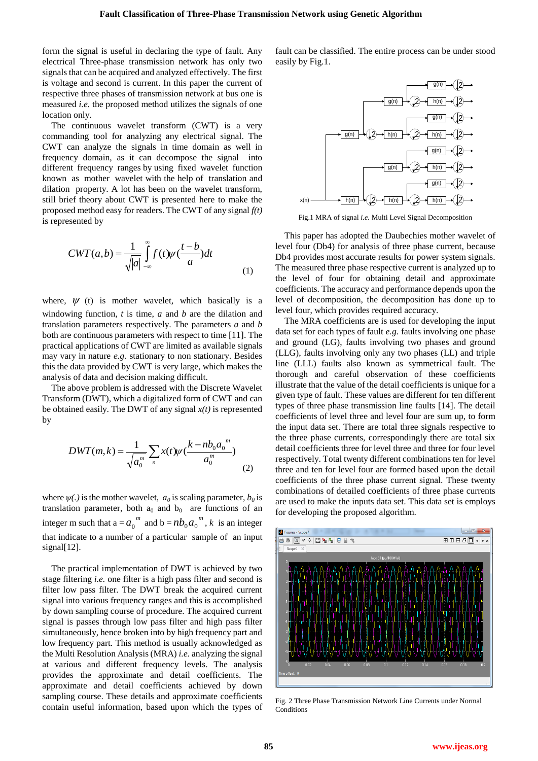form the signal is useful in declaring the type of fault. Any electrical Three-phase transmission network has only two signals that can be acquired and analyzed effectively. The first is voltage and second is current. In this paper the current of respective three phases of transmission network at bus one is measured *i.e.* the proposed method utilizes the signals of one location only.

The continuous wavelet transform (CWT) is a very commanding tool for analyzing any electrical signal. The CWT can analyze the signals in time domain as well in frequency domain, as it can decompose the signal into different frequency ranges by using fixed wavelet function known as mother wavelet with the help of translation and dilation property. A lot has been on the wavelet transform, still brief theory about CWT is presented here to make the proposed method easy for readers. The CWT of any signal *f(t)* is represented by

$$
CWT(a,b) = \frac{1}{\sqrt{|a|}} \int_{-\infty}^{\infty} f(t) \psi(\frac{t-b}{a}) dt
$$
 (1)

where,  $\psi$  (t) is mother wavelet, which basically is a windowing function, *t* is time, *a* and *b* are the dilation and translation parameters respectively. The parameters *a* and *b* both are continuous parameters with respect to time [11]. The practical applications of CWT are limited as available signals may vary in nature *e.g.* stationary to non stationary. Besides this the data provided by CWT is very large, which makes the analysis of data and decision making difficult.

The above problem is addressed with the Discrete Wavelet Transform (DWT), which a digitalized form of CWT and can be obtained easily. The DWT of any signal *x(t)* is represented by

$$
DWT(m,k) = \frac{1}{\sqrt{a_0^m}} \sum_{n} x(t) \psi\left(\frac{k - nb_0 a_0^m}{a_0^m}\right)
$$
\n(2)

where  $\psi(.)$  is the mother wavelet,  $a_0$  is scaling parameter,  $b_0$  is translation parameter, both  $a_0$  and  $b_0$  are functions of an integer m such that  $a = a_0^m$  and  $b = nb_0 a_0^m$ , k is an integer that indicate to a number of a particular sample of an input signal[12].

The practical implementation of DWT is achieved by two stage filtering *i.e.* one filter is a high pass filter and second is filter low pass filter. The DWT break the acquired current signal into various frequency ranges and this is accomplished by down sampling course of procedure. The acquired current signal is passes through low pass filter and high pass filter simultaneously, hence broken into by high frequency part and low frequency part. This method is usually acknowledged as the Multi Resolution Analysis (MRA) *i.e.* analyzing the signal at various and different frequency levels. The analysis provides the approximate and detail coefficients. The approximate and detail coefficients achieved by down sampling course. These details and approximate coefficients contain useful information, based upon which the types of fault can be classified. The entire process can be under stood easily by Fig.1.



Fig.1 MRA of signal *i.e.* Multi Level Signal Decomposition

This paper has adopted the Daubechies mother wavelet of level four (Db4) for analysis of three phase current, because Db4 provides most accurate results for power system signals. The measured three phase respective current is analyzed up to the level of four for obtaining detail and approximate coefficients. The accuracy and performance depends upon the level of decomposition, the decomposition has done up to level four, which provides required accuracy.

The MRA coefficients are is used for developing the input data set for each types of fault *e.g.* faults involving one phase and ground (LG), faults involving two phases and ground (LLG), faults involving only any two phases (LL) and triple line (LLL) faults also known as symmetrical fault. The thorough and careful observation of these coefficients illustrate that the value of the detail coefficients is unique for a given type of fault. These values are different for ten different types of three phase transmission line faults [14]. The detail coefficients of level three and level four are sum up, to form the input data set. There are total three signals respective to the three phase currents, correspondingly there are total six detail coefficients three for level three and three for four level respectively. Total twenty different combinations ten for level three and ten for level four are formed based upon the detail coefficients of the three phase current signal. These twenty combinations of detailed coefficients of three phase currents are used to make the inputs data set. This data set is employs for developing the proposed algorithm.



Fig. 2 Three Phase Transmission Network Line Currents under Normal **Conditions**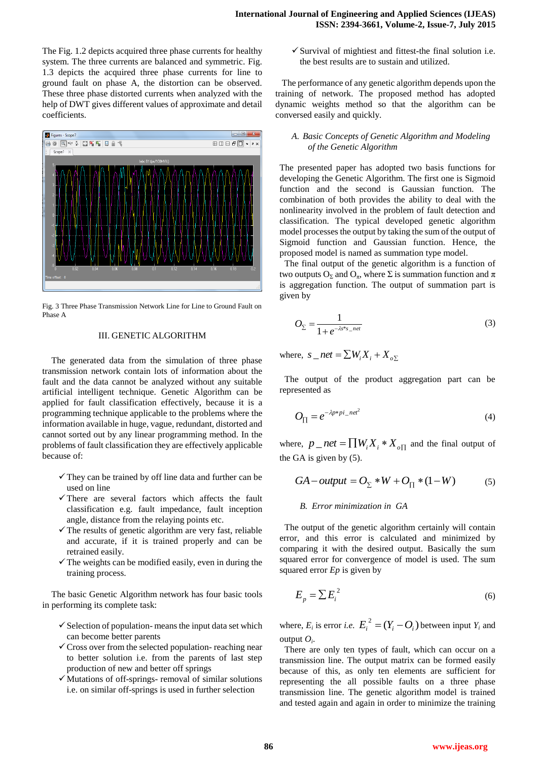The Fig. 1.2 depicts acquired three phase currents for healthy system. The three currents are balanced and symmetric. Fig. 1.3 depicts the acquired three phase currents for line to ground fault on phase A, the distortion can be observed. These three phase distorted currents when analyzed with the help of DWT gives different values of approximate and detail coefficients.



Fig. 3 Three Phase Transmission Network Line for Line to Ground Fault on Phase A

## III. GENETIC ALGORITHM

The generated data from the simulation of three phase transmission network contain lots of information about the fault and the data cannot be analyzed without any suitable artificial intelligent technique. Genetic Algorithm can be applied for fault classification effectively, because it is a programming technique applicable to the problems where the information available in huge, vague, redundant, distorted and cannot sorted out by any linear programming method. In the problems of fault classification they are effectively applicable because of:

- $\checkmark$  They can be trained by off line data and further can be used on line
- $\checkmark$  There are several factors which affects the fault classification e.g. fault impedance, fault inception angle, distance from the relaying points etc.
- $\checkmark$  The results of genetic algorithm are very fast, reliable and accurate, if it is trained properly and can be retrained easily.
- $\checkmark$  The weights can be modified easily, even in during the training process.

The basic Genetic Algorithm network has four basic tools in performing its complete task:

- $\checkmark$  Selection of population-means the input data set which can become better parents
- $\checkmark$  Cross over from the selected population- reaching near to better solution i.e. from the parents of last step production of new and better off springs
- $\checkmark$  Mutations of off-springs- removal of similar solutions i.e. on similar off-springs is used in further selection

 $\checkmark$  Survival of mightiest and fittest-the final solution i.e. the best results are to sustain and utilized.

The performance of any genetic algorithm depends upon the training of network. The proposed method has adopted dynamic weights method so that the algorithm can be conversed easily and quickly.

## *A. Basic Concepts of Genetic Algorithm and Modeling of the Genetic Algorithm*

The presented paper has adopted two basis functions for developing the Genetic Algorithm. The first one is Sigmoid function and the second is Gaussian function. The combination of both provides the ability to deal with the nonlinearity involved in the problem of fault detection and classification. The typical developed genetic algorithm model processes the output by taking the sum of the output of Sigmoid function and Gaussian function. Hence, the proposed model is named as summation type model.

The final output of the genetic algorithm is a function of two outputs  $O_{\Sigma}$  and  $O_{\pi}$ , where  $\Sigma$  is summation function and  $\pi$ is aggregation function. The output of summation part is given by

$$
O_{\Sigma} = \frac{1}{1 + e^{-\lambda s^* s \_\mathit{net}}}
$$
\n<sup>(3)</sup>

where,  $s$  \_ net =  $\sum W_i X_i + X_{\sigma \Sigma}$ 

The output of the product aggregation part can be represented as

$$
O_{\Pi} = e^{-\lambda p * p i_{\text{net}}^2}
$$
\n<sup>(4)</sup>

where,  $p_{\perp}$  *net* =  $\prod W_i X_i * X_{\iota \Pi}$  and the final output of the GA is given by (5).

$$
GA-output = O_{\Sigma} * W + O_{\Pi} * (1 - W) \tag{5}
$$

## *B. Error minimization in GA*

The output of the genetic algorithm certainly will contain error, and this error is calculated and minimized by comparing it with the desired output. Basically the sum squared error for convergence of model is used. The sum squared error *Ep* is given by

$$
E_p = \sum E_i^2 \tag{6}
$$

where,  $E_i$  is error *i.e.*  $E_i^2 = (Y_i - O_i)$  between input  $Y_i$  and output  $O_i$ .

There are only ten types of fault, which can occur on a transmission line. The output matrix can be formed easily because of this, as only ten elements are sufficient for representing the all possible faults on a three phase transmission line. The genetic algorithm model is trained and tested again and again in order to minimize the training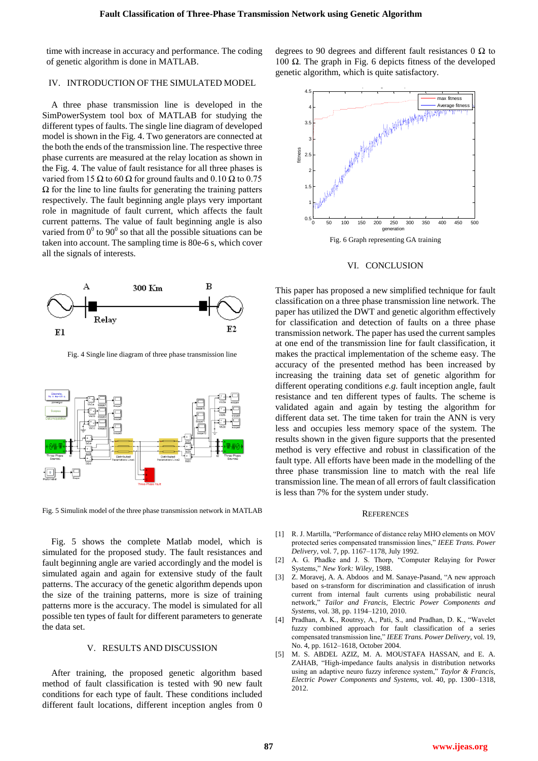time with increase in accuracy and performance. The coding of genetic algorithm is done in MATLAB.

# IV. INTRODUCTION OF THE SIMULATED MODEL

A three phase transmission line is developed in the SimPowerSystem tool box of MATLAB for studying the different types of faults. The single line diagram of developed model is shown in the Fig. 4. Two generators are connected at the both the ends of the transmission line. The respective three phase currents are measured at the relay location as shown in the Fig. 4. The value of fault resistance for all three phases is varied from 15  $\Omega$  to 60  $\Omega$  for ground faults and 0.10  $\Omega$  to 0.75  $\Omega$  for the line to line faults for generating the training patters respectively. The fault beginning angle plays very important role in magnitude of fault current, which affects the fault current patterns. The value of fault beginning angle is also varied from  $0^0$  to  $90^0$  so that all the possible situations can be taken into account. The sampling time is 80e-6 s, which cover all the signals of interests.



Fig. 4 Single line diagram of three phase transmission line



Fig. 5 Simulink model of the three phase transmission network in MATLAB

Fig. 5 shows the complete Matlab model, which is simulated for the proposed study. The fault resistances and fault beginning angle are varied accordingly and the model is simulated again and again for extensive study of the fault patterns. The accuracy of the genetic algorithm depends upon the size of the training patterns, more is size of training patterns more is the accuracy. The model is simulated for all possible ten types of fault for different parameters to generate the data set.

## V. RESULTS AND DISCUSSION

After training, the proposed genetic algorithm based method of fault classification is tested with 90 new fault conditions for each type of fault. These conditions included different fault locations, different inception angles from 0

degrees to 90 degrees and different fault resistances 0  $\Omega$  to 100 Ω. The graph in Fig. 6 depicts fitness of the developed genetic algorithm, which is quite satisfactory.



Fig. 6 Graph representing GA training

#### VI. CONCLUSION

This paper has proposed a new simplified technique for fault classification on a three phase transmission line network. The paper has utilized the DWT and genetic algorithm effectively for classification and detection of faults on a three phase transmission network. The paper has used the current samples at one end of the transmission line for fault classification, it makes the practical implementation of the scheme easy. The accuracy of the presented method has been increased by increasing the training data set of genetic algorithm for different operating conditions *e.g.* fault inception angle, fault resistance and ten different types of faults. The scheme is validated again and again by testing the algorithm for different data set. The time taken for train the ANN is very less and occupies less memory space of the system. The results shown in the given figure supports that the presented method is very effective and robust in classification of the fault type. All efforts have been made in the modelling of the three phase transmission line to match with the real life transmission line. The mean of all errors of fault classification is less than 7% for the system under study.

#### **REFERENCES**

- [1] R. J. Martilla, "Performance of distance relay MHO elements on MOV protected series compensated transmission lines,‖ *IEEE Trans. Power Delivery*, vol. 7, pp. 1167–1178, July 1992.
- [2] A. G. Phadke and J. S. Thorp, "Computer Relaying for Power Systems," New York: Wiley, 1988.
- [3] Z. Moravej, A. A. Abdoos and M. Sanaye-Pasand, "A new approach based on s-transform for discrimination and classification of inrush current from internal fault currents using probabilistic neural network,‖ *Tailor and Francis*, Electric *Power Components and Systems,* vol. 38, pp. 1194–1210, 2010.
- [4] Pradhan, A. K., Routrsy, A., Pati, S., and Pradhan, D. K., "Wavelet fuzzy combined approach for fault classification of a series compensated transmission line," *IEEE Trans. Power Delivery*, vol. 19, No. 4, pp. 1612–1618, October 2004.
- [5] M. S. ABDEL AZIZ, M. A. MOUSTAFA HASSAN, and E. A. ZAHAB, "High-impedance faults analysis in distribution networks using an adaptive neuro fuzzy inference system," Taylor & Francis, *Electric Power Components and Systems,* vol. 40, pp. 1300–1318, 2012.